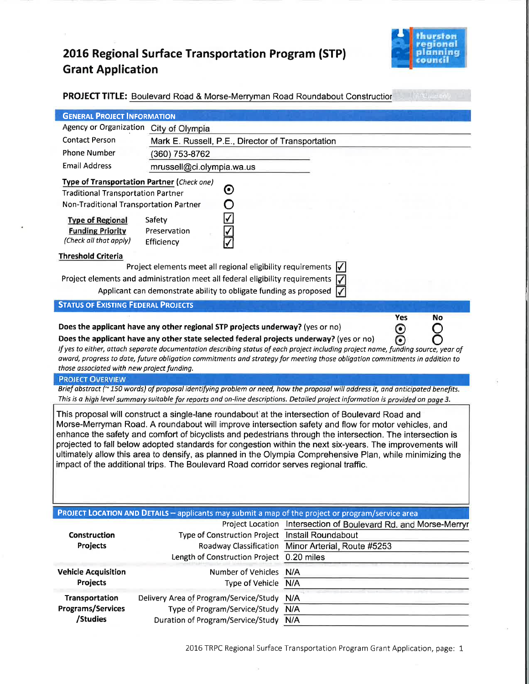# 2016 Regional Surface Transportation Program (STP) **Grant Application**



| <b>RACHAMONIA</b><br><b>PROJECT TITLE:</b> Boulevard Road & Morse-Merryman Road Roundabout Construction                                                                                                                                                                                                                                                                                                                                                                                                                                                                                                                                                                                                                                                                                                                                                                                                                                                                                                                            |                                                                                                                     |                                                                                                                                                                                                                                                                 |  |  |
|------------------------------------------------------------------------------------------------------------------------------------------------------------------------------------------------------------------------------------------------------------------------------------------------------------------------------------------------------------------------------------------------------------------------------------------------------------------------------------------------------------------------------------------------------------------------------------------------------------------------------------------------------------------------------------------------------------------------------------------------------------------------------------------------------------------------------------------------------------------------------------------------------------------------------------------------------------------------------------------------------------------------------------|---------------------------------------------------------------------------------------------------------------------|-----------------------------------------------------------------------------------------------------------------------------------------------------------------------------------------------------------------------------------------------------------------|--|--|
| <b>GENERAL PROJECT INFORMATION</b>                                                                                                                                                                                                                                                                                                                                                                                                                                                                                                                                                                                                                                                                                                                                                                                                                                                                                                                                                                                                 |                                                                                                                     |                                                                                                                                                                                                                                                                 |  |  |
| <b>Contact Person</b><br><b>Phone Number</b>                                                                                                                                                                                                                                                                                                                                                                                                                                                                                                                                                                                                                                                                                                                                                                                                                                                                                                                                                                                       | Agency or Organization City of Olympia<br>Mark E. Russell, P.E., Director of Transportation<br>(360) 753-8762       |                                                                                                                                                                                                                                                                 |  |  |
| <b>Email Address</b><br>mrussell@ci.olympia.wa.us<br>Type of Transportation Partner (Check one)<br>$\boldsymbol{\Theta}$<br><b>Traditional Transportation Partner</b><br>Non-Traditional Transportation Partner<br><b>Type of Regional</b><br>Safety<br><b>Funding Priority</b><br>Preservation<br>(Check all that apply)<br>Efficiency<br><b>Threshold Criteria</b><br>Project elements meet all regional eligibility requirements<br>Project elements and administration meet all federal eligibility requirements<br>Applicant can demonstrate ability to obligate funding as proposed $\sqrt{\sqrt{ }}$<br><b>STATUS OF EXISTING FEDERAL PROJECTS</b><br><b>Yes</b><br><b>No</b><br>Does the applicant have any other regional STP projects underway? (yes or no)<br>$\boldsymbol{\odot}$<br>۵<br>Does the applicant have any other state selected federal projects underway? (yes or no)<br>If yes to either, attach separate documentation describing status of each project including project name, funding source, year of |                                                                                                                     |                                                                                                                                                                                                                                                                 |  |  |
| those associated with new project funding.<br><b>PROJECT OVERVIEW</b>                                                                                                                                                                                                                                                                                                                                                                                                                                                                                                                                                                                                                                                                                                                                                                                                                                                                                                                                                              |                                                                                                                     | award, progress to date, future obligation commitments and strategy for meeting those obligation commitments in addition to<br>Brief abstract (~150 words) of proposal identifying problem or need, how the proposal will address it, and anticipated benefits. |  |  |
|                                                                                                                                                                                                                                                                                                                                                                                                                                                                                                                                                                                                                                                                                                                                                                                                                                                                                                                                                                                                                                    |                                                                                                                     | This is a high level summary suitable for reports and on-line descriptions. Detailed project information is provided on page 3.                                                                                                                                 |  |  |
| This proposal will construct a single-lane roundabout at the intersection of Boulevard Road and<br>Morse-Merryman Road. A roundabout will improve intersection safety and flow for motor vehicles, and<br>enhance the safety and comfort of bicyclists and pedestrians through the intersection. The intersection is<br>projected to fall below adopted standards for congestion within the next six-years. The improvements will<br>ultimately allow this area to densify, as planned in the Olympia Comprehensive Plan, while minimizing the<br>impact of the additional trips. The Boulevard Road corridor serves regional traffic.                                                                                                                                                                                                                                                                                                                                                                                             |                                                                                                                     |                                                                                                                                                                                                                                                                 |  |  |
|                                                                                                                                                                                                                                                                                                                                                                                                                                                                                                                                                                                                                                                                                                                                                                                                                                                                                                                                                                                                                                    | <b>PROJECT LOCATION AND DETAILS - applicants may submit a map of the project or program/service area</b>            |                                                                                                                                                                                                                                                                 |  |  |
| Construction<br>Projects                                                                                                                                                                                                                                                                                                                                                                                                                                                                                                                                                                                                                                                                                                                                                                                                                                                                                                                                                                                                           | Type of Construction Project Install Roundabout<br>Length of Construction Project 0.20 miles                        | Project Location Intersection of Boulevard Rd. and Morse-Merryr<br>Roadway Classification Minor Arterial, Route #5253                                                                                                                                           |  |  |
| <b>Vehicle Acquisition</b><br>Projects                                                                                                                                                                                                                                                                                                                                                                                                                                                                                                                                                                                                                                                                                                                                                                                                                                                                                                                                                                                             | Number of Vehicles N/A<br>Type of Vehicle                                                                           | N/A                                                                                                                                                                                                                                                             |  |  |
| Transportation<br><b>Programs/Services</b><br>/Studies                                                                                                                                                                                                                                                                                                                                                                                                                                                                                                                                                                                                                                                                                                                                                                                                                                                                                                                                                                             | Delivery Area of Program/Service/Study<br>Type of Program/Service/Study<br><b>Duration of Program/Service/Study</b> | N/A<br>N/A<br>N/A                                                                                                                                                                                                                                               |  |  |

2016 TRPC Regional Surface Transportation Program Grant Application, page: 1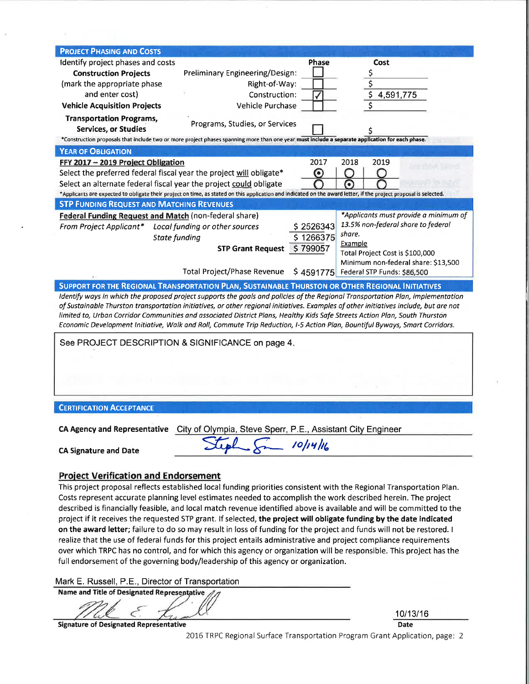| <b>PROJECT PHASING AND COSTS</b>                                                                                                                                                                                                                                                                                                                                                                                                                                                                                                       |                                                                                                                                                                   |                                       |  |  |  |
|----------------------------------------------------------------------------------------------------------------------------------------------------------------------------------------------------------------------------------------------------------------------------------------------------------------------------------------------------------------------------------------------------------------------------------------------------------------------------------------------------------------------------------------|-------------------------------------------------------------------------------------------------------------------------------------------------------------------|---------------------------------------|--|--|--|
| Identify project phases and costs                                                                                                                                                                                                                                                                                                                                                                                                                                                                                                      | <b>Phase</b>                                                                                                                                                      | <b>Cost</b>                           |  |  |  |
| <b>Construction Projects</b>                                                                                                                                                                                                                                                                                                                                                                                                                                                                                                           | Preliminary Engineering/Design:                                                                                                                                   |                                       |  |  |  |
| (mark the appropriate phase                                                                                                                                                                                                                                                                                                                                                                                                                                                                                                            | Right-of-Way:                                                                                                                                                     | $rac{5}{5}$                           |  |  |  |
| and enter cost)                                                                                                                                                                                                                                                                                                                                                                                                                                                                                                                        | Construction:                                                                                                                                                     | 4,591,775                             |  |  |  |
| <b>Vehicle Acquisition Projects</b>                                                                                                                                                                                                                                                                                                                                                                                                                                                                                                    | Vehicle Purchase                                                                                                                                                  |                                       |  |  |  |
| <b>Transportation Programs,</b>                                                                                                                                                                                                                                                                                                                                                                                                                                                                                                        |                                                                                                                                                                   |                                       |  |  |  |
| <b>Services, or Studies</b>                                                                                                                                                                                                                                                                                                                                                                                                                                                                                                            | Programs, Studies, or Services                                                                                                                                    |                                       |  |  |  |
|                                                                                                                                                                                                                                                                                                                                                                                                                                                                                                                                        | *Construction proposals that include two or more project phases spanning more than one year must include a separate application for each phase.                   |                                       |  |  |  |
| <b>YEAR OF OBLIGATION</b>                                                                                                                                                                                                                                                                                                                                                                                                                                                                                                              |                                                                                                                                                                   |                                       |  |  |  |
| FFY 2017 - 2019 Project Obligation                                                                                                                                                                                                                                                                                                                                                                                                                                                                                                     | 2017                                                                                                                                                              | 2018<br>2019                          |  |  |  |
| Select the preferred federal fiscal year the project will obligate*                                                                                                                                                                                                                                                                                                                                                                                                                                                                    | ⊙                                                                                                                                                                 |                                       |  |  |  |
| Select an alternate federal fiscal year the project could obligate                                                                                                                                                                                                                                                                                                                                                                                                                                                                     |                                                                                                                                                                   | ര                                     |  |  |  |
|                                                                                                                                                                                                                                                                                                                                                                                                                                                                                                                                        | *Applicants are expected to obligate their project on time, as stated on this application and indicated on the award letter, if the project proposal is selected. |                                       |  |  |  |
| <b>STP FUNDING REQUEST AND MATCHING REVENUES</b>                                                                                                                                                                                                                                                                                                                                                                                                                                                                                       |                                                                                                                                                                   |                                       |  |  |  |
| Federal Funding Request and Match (non-federal share)                                                                                                                                                                                                                                                                                                                                                                                                                                                                                  |                                                                                                                                                                   | *Applicants must provide a minimum of |  |  |  |
| From Project Applicant* Local funding or other sources                                                                                                                                                                                                                                                                                                                                                                                                                                                                                 | \$2526343                                                                                                                                                         | 13.5% non-federal share to federal    |  |  |  |
| <b>State funding</b>                                                                                                                                                                                                                                                                                                                                                                                                                                                                                                                   | \$1266375                                                                                                                                                         | share.                                |  |  |  |
|                                                                                                                                                                                                                                                                                                                                                                                                                                                                                                                                        | \$799057<br><b>STP Grant Request</b>                                                                                                                              | Example                               |  |  |  |
|                                                                                                                                                                                                                                                                                                                                                                                                                                                                                                                                        |                                                                                                                                                                   | Total Project Cost is \$100,000       |  |  |  |
|                                                                                                                                                                                                                                                                                                                                                                                                                                                                                                                                        |                                                                                                                                                                   | Minimum non-federal share: \$13,500   |  |  |  |
|                                                                                                                                                                                                                                                                                                                                                                                                                                                                                                                                        | <b>Total Project/Phase Revenue</b><br><b>SUPPORT FOR THE REGIONAL TRANSPORTATION PLAN, SUSTAINABLE THURSTON OR OTHER REGIONAL INITIATIVES</b>                     | \$4591775 Federal STP Funds: \$86,500 |  |  |  |
| Identify ways in which the proposed project supports the goals and policies of the Regional Transportation Plan, implementation<br>of Sustainable Thurston transportation initiatives, or other regional initiatives. Examples of other initiatives include, but are not<br>limited to, Urban Corridor Communities and associated District Plans, Healthy Kids Safe Streets Action Plan, South Thurston<br>Economic Development Initiative, Walk and Roll, Commute Trip Reduction, I-5 Action Plan, Bountiful Byways, Smart Corridors. |                                                                                                                                                                   |                                       |  |  |  |
| See PROJECT DESCRIPTION & SIGNIFICANCE on page 4.                                                                                                                                                                                                                                                                                                                                                                                                                                                                                      |                                                                                                                                                                   |                                       |  |  |  |
|                                                                                                                                                                                                                                                                                                                                                                                                                                                                                                                                        |                                                                                                                                                                   |                                       |  |  |  |
|                                                                                                                                                                                                                                                                                                                                                                                                                                                                                                                                        |                                                                                                                                                                   |                                       |  |  |  |
|                                                                                                                                                                                                                                                                                                                                                                                                                                                                                                                                        |                                                                                                                                                                   |                                       |  |  |  |
|                                                                                                                                                                                                                                                                                                                                                                                                                                                                                                                                        |                                                                                                                                                                   |                                       |  |  |  |
|                                                                                                                                                                                                                                                                                                                                                                                                                                                                                                                                        |                                                                                                                                                                   |                                       |  |  |  |
| <b>CERTIFICATION ACCEPTANCE</b>                                                                                                                                                                                                                                                                                                                                                                                                                                                                                                        |                                                                                                                                                                   |                                       |  |  |  |
|                                                                                                                                                                                                                                                                                                                                                                                                                                                                                                                                        |                                                                                                                                                                   |                                       |  |  |  |
|                                                                                                                                                                                                                                                                                                                                                                                                                                                                                                                                        | <b>CA Agency and Representative City of Olympia, Steve Sperr, P.E., Assistant City Engineer</b>                                                                   |                                       |  |  |  |
|                                                                                                                                                                                                                                                                                                                                                                                                                                                                                                                                        |                                                                                                                                                                   |                                       |  |  |  |
| Steph 8m 10/14/16<br><b>CA Signature and Date</b>                                                                                                                                                                                                                                                                                                                                                                                                                                                                                      |                                                                                                                                                                   |                                       |  |  |  |
|                                                                                                                                                                                                                                                                                                                                                                                                                                                                                                                                        |                                                                                                                                                                   |                                       |  |  |  |
|                                                                                                                                                                                                                                                                                                                                                                                                                                                                                                                                        |                                                                                                                                                                   |                                       |  |  |  |
| <b>Project Verification and Endorsement</b><br>This project proposal reflects established local funding priorities consistent with the Regional Transportation Plan.                                                                                                                                                                                                                                                                                                                                                                   |                                                                                                                                                                   |                                       |  |  |  |
| Costs represent accurate planning level estimates needed to accomplish the work described herein. The project                                                                                                                                                                                                                                                                                                                                                                                                                          |                                                                                                                                                                   |                                       |  |  |  |
| described is financially feasible, and local match revenue identified above is available and will be committed to the                                                                                                                                                                                                                                                                                                                                                                                                                  |                                                                                                                                                                   |                                       |  |  |  |
| project if it receives the requested STP grant. If selected, the project will obligate funding by the date indicated                                                                                                                                                                                                                                                                                                                                                                                                                   |                                                                                                                                                                   |                                       |  |  |  |
| on the award letter; failure to do so may result in loss of funding for the project and funds will not be restored. I                                                                                                                                                                                                                                                                                                                                                                                                                  |                                                                                                                                                                   |                                       |  |  |  |
| realize that the use of federal funds for this project entails administrative and project compliance requirements                                                                                                                                                                                                                                                                                                                                                                                                                      |                                                                                                                                                                   |                                       |  |  |  |
| over which TRPC has no control, and for which this agency or organization will be responsible. This project has the                                                                                                                                                                                                                                                                                                                                                                                                                    |                                                                                                                                                                   |                                       |  |  |  |

Mark E. Russell, P.E., Director of Transportation

full endorsement of the governing body/leadership of this agency or organization.

Name and Title of Designated Representative

C

**Signature of Designated Representative** 

 $\bar{\sigma}$ 

10/13/16 Date

2016 TRPC Regional Surface Transportation Program Grant Application, page: 2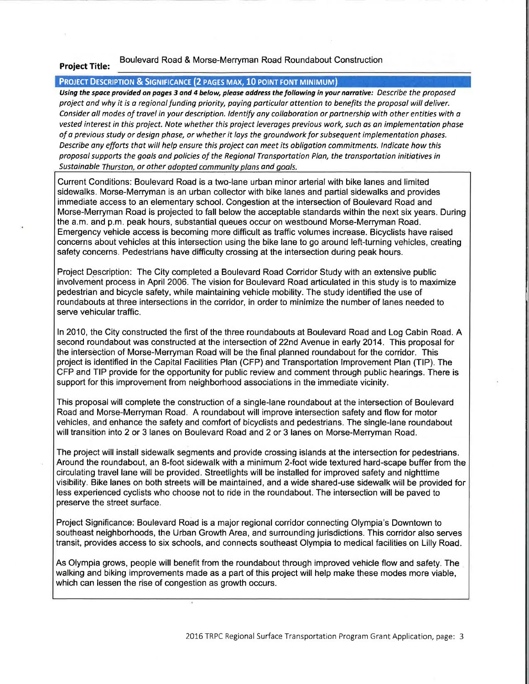#### Boulevard Road & Morse-Merryman Road Roundabout Construction Project Title:

#### PROJECT DESCRIPTION & SIGNIFICANCE (2 PAGES MAX, 10 POINT FONT MINIMUM)

Using the space provided on pages 3 and 4 below, please address the following in your narrative: Describe the proposed project and why it is a regional funding priority, paying particular attention to benefits the proposal will deliver. Consider all modes of travel in your description. Identify any collaboration or partnership with other entities with a vested interest in this project. Note whether this project leverages previous work, such os on implementation phase of a previous study or design phase, or whether it lays the groundwork for subsequent implementation phases. Describe any efforts that will help ensure this project can meet its obligation commitments. Indicate how this proposol supports the goals and policies of the Regional Transportotion Plan, the tronsportation initiatives in Sustainable Thurston, or other adopted community plans and goals.

Current Conditions: Boulevard Road is a two-lane urban minor arterial with bike lanes and limited sidewalks. Morse-Merryman is an urban collector with bike lanes and partial sidewalks and provides immediate access to an elementary school. Congestion at the intersection of Boulevard Road and Morse-Merryman Road is projected to fall below the acceptable standards within the next six years. During the a.m. and p.m. peak hours, substantial queues occur on westbound Morse-Merryman Road. Emergency vehicle access is becoming more difficult as traffic volumes increase. Bicyclists have raised concerns about vehicles at this intersection using the bike lane to go around left-turning vehicles, creating safety concerns. Pedestrians have difficulty crossing at the intersection during peak hours.

Project Description: The City completed a Boulevard Road Corridor Study with an extensive public involvement process in April 2006. The vision for Boulevard Road articulated in this study is to maximize pedestrian and bicycle safety, while maintaining vehicle mobility. The study identified the use of roundabouts at three intersections in the corridor, in order to minimize the number of lanes needed to serve vehicular traffic.

ln 2010, the City constructed the first of the three roundabouts at Boulevard Road and Log Cabin Road. A second roundabout was constructed at the intersection of 22nd Avenue in early 2014. This proposal for the intersèction of Morse-Merryman Road will be the final planned roundabout for the corridor. This project is identified in the Capital Facilities Plan (CFP) and Transportation lmprovement Plan (TlP). The CFP and TIP provide for the opportunity for public review and comment through public hearings. There is support for this improvement from neighborhood associations in the immediate vicinity.

This proposal will complete the construction of a single-lane roundabout at the intersection of Boulevard Road and Morse-Merryman Road. A roundabout will improve intersection safety and flow for motor vehicles, and enhance the safety and comfort of bícyclists and pedestrians. The single-lane roundabout will transition into 2 or 3 lanes on Boulevard Road and 2 or 3 lanes on Morse-Merryman Road.

The project will install sidewalk segments and provide crossing islands at the intersection for pedestrians. Around the roundabout, an 8-foot sidewalk with a minimum 2-foot wide textured hard-scape buffer from the circulating travel lane will be provided. Streetlights will be installed for improved safety and nighttime visibility. Bike lanes on both streets will be maintained, and a wide shared-use sidewalk will be provided for less experienced cyclists who choose not to ride in the roundabout. The intersection will be paved to preserve the street surface.

Project Significance: Boulevard Road is a major regional corridor connecting Olympia's Downtown to southeast neighborhoods, the Urban Growth Area, and surrounding jurisdictions. This corridor also serves transit, provides access to six schools, and connects southeast Olympia to medical facilities on Lilly Road.

As Olympia grows, people will benefit from the roundabout through improved vehicle flow and safety. The walking and biking improvements made as a part of this project will help make these modes more viable, which can lessen the rise of congestion as growth occurs.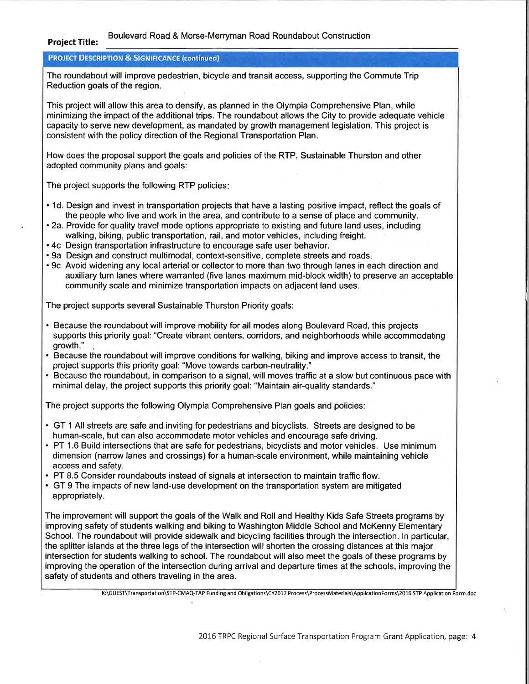#### Boulevard Road & Morse-Merryman Road Roundabout Construction

## Project Title:

### **PROJECT DESCRIPTION & SIGNIFICANCE (continued)**

The roundabout will improve pedestrian, bicycle and transit access, supporting the Commute Trip Reduction goals of the region.

This project will allow this area to densify, as planned in the Olympia Comprehensive Plan, while minimizing the impact of the additional trips. The roundabout allows the City to provide adequate vehicle capacity to serve new development, as mandated by growth management legislation. This project is consistent with the policy direction of the Regional Transportation Plan.

How does the proposal support the goals and policies of the RTP, Sustainable Thurston and other adopted community plans and goals:

The project supports the following RTP policies

- . 1d. Design and invest in transportation projects that have a lasting positive impact, reflect the goals of the people who live and work in the area, and contribute to a sense of place and community.
- . 2a. Provide for quality travel mode options appropriate to existing and future land uses, including walking, biking, public transportation, rail, and motor vehicles, including freight.
- . 4c Design transportation infrastructure to encourage safe user behavior.
- . 9a Design and construct multimodal, context-sensitive, complete streets and roads.
- . 9c Avoid widening any local arterial or collector to more than two through lanes in each direction and auxiliary turn lanes where warranted (five lanes maximum mid-block width) to preserve an acceptable community scale and minimize transportation impacts on adjacent land uses.

The project supports several Sustainable Thurston Priority goals:

- . Because the roundabout will improve mobility for all modes along Boulevard Road, this projects supports this priority goal: "Create vibrant centers, corridors, and neighborhoods while accommodating growth."
- . Because the roundabout will improve conditions for walking, biking and improve access to transit, the project supports this priority goal: "Move towards carbon-neutrality."
- . Because the roundabout, in comparison to a signal, will moves traffic at a slow but continuous pace with minimal delay, the project supports this priority goal: "Maintain air-quality standards."

The project supports the following Olympia Comprehensive Plan goals and policies:

- . GT 1 All streets are safe and inviting for pedestrians and bicyclists. Streets are designed to be human-scale, but can also accommodate motor vehicles and encourage safe driving.
- . PT 1.6 Build intersections that are safe for pedestrians, bicyclists and motor vehicles. Use minimum dimension (narrow lanes and crossings) for a human-scale environment, while maintaining vehicle access and safety.
- . PT 8.5 Consider roundabouts instead of signals at intersection to maintain traffic flow.
- GT 9 The impacts of new land-use development on the transportation system are mitigated appropriately.

The improvement will support the goals of the Walk and Roll and Healthy Kids Safe Streets programs by improving safety of students walking and biking to Washington Middle School and McKenny Elementary School. The roundabout will provide sidewalk and bicycling facilities through the intersection. In particular, the splitter islands at the three legs of the intersection will shorten the crossing distances at this major intersection for students walking to school. The roundabout will also meet the goals of these programs by improving the operation of the intersection during arrival and departure times at the schools, improving the safety of students and others traveling in the area.

K:\GUEST\Transportation\STP-CMAQ-TAP Funding and Obligations\CY2017 Process\ProcessMaterials\ApplicationForms\2016 STP Application Form.doc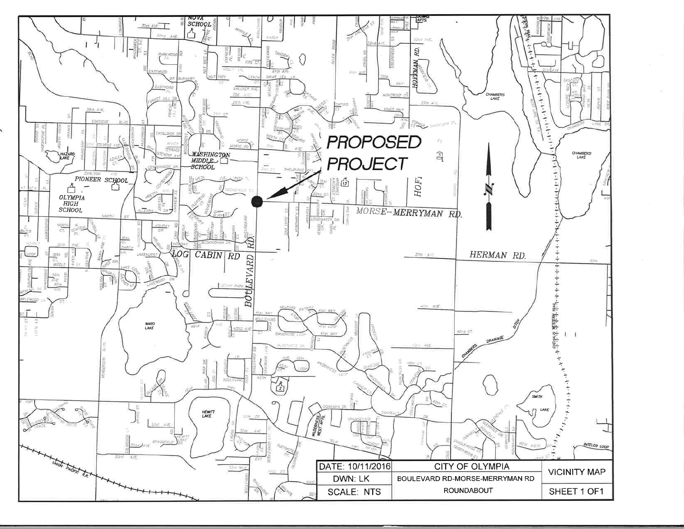